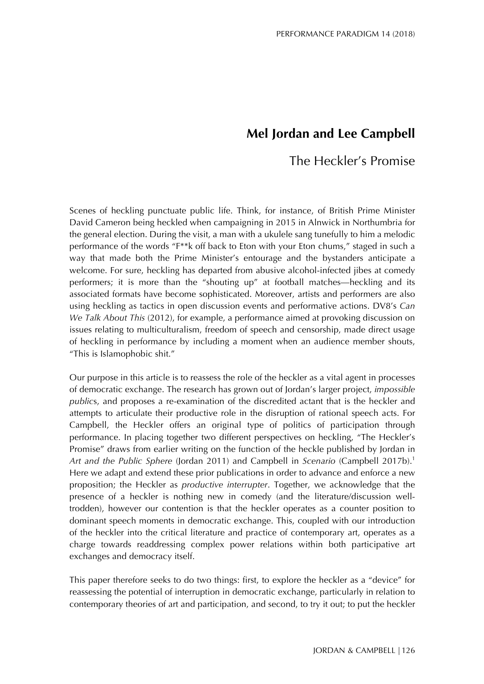# **Mel Jordan and Lee Campbell**

# The Heckler's Promise

Scenes of heckling punctuate public life. Think, for instance, of British Prime Minister David Cameron being heckled when campaigning in 2015 in Alnwick in Northumbria for the general election. During the visit, a man with a ukulele sang tunefully to him a melodic performance of the words "F\*\*k off back to Eton with your Eton chums," staged in such a way that made both the Prime Minister's entourage and the bystanders anticipate a welcome. For sure, heckling has departed from abusive alcohol-infected jibes at comedy performers; it is more than the "shouting up" at football matches—heckling and its associated formats have become sophisticated. Moreover, artists and performers are also using heckling as tactics in open discussion events and performative actions. DV8's *Can We Talk About This* (2012), for example, a performance aimed at provoking discussion on issues relating to multiculturalism, freedom of speech and censorship, made direct usage of heckling in performance by including a moment when an audience member shouts, "This is Islamophobic shit."

Our purpose in this article is to reassess the role of the heckler as a vital agent in processes of democratic exchange. The research has grown out of Jordan's larger project, *impossible public*s, and proposes a re-examination of the discredited actant that is the heckler and attempts to articulate their productive role in the disruption of rational speech acts. For Campbell, the Heckler offers an original type of politics of participation through performance. In placing together two different perspectives on heckling, "The Heckler's Promise" draws from earlier writing on the function of the heckle published by Jordan in *Art and the Public Sphere* (Jordan 2011) and Campbell in *Scenario* (Campbell 2017b).<sup>1</sup> Here we adapt and extend these prior publications in order to advance and enforce a new proposition; the Heckler as *productive interrupter*. Together, we acknowledge that the presence of a heckler is nothing new in comedy (and the literature/discussion welltrodden), however our contention is that the heckler operates as a counter position to dominant speech moments in democratic exchange. This, coupled with our introduction of the heckler into the critical literature and practice of contemporary art, operates as a charge towards readdressing complex power relations within both participative art exchanges and democracy itself.

This paper therefore seeks to do two things: first, to explore the heckler as a "device" for reassessing the potential of interruption in democratic exchange, particularly in relation to contemporary theories of art and participation, and second, to try it out; to put the heckler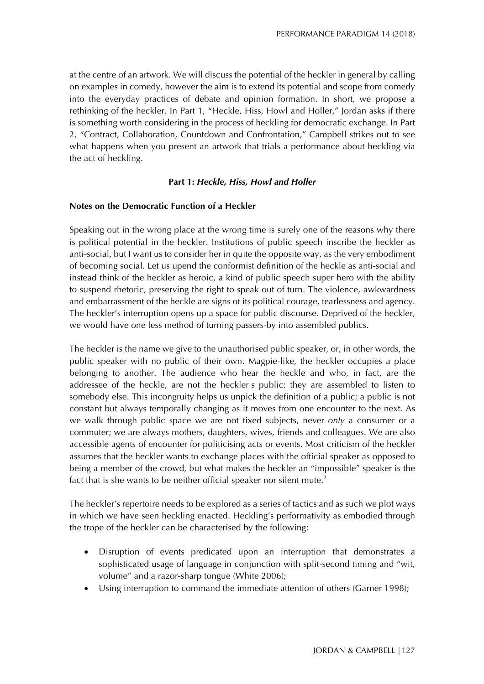at the centre of an artwork. We will discuss the potential of the heckler in general by calling on examples in comedy, however the aim is to extend its potential and scope from comedy into the everyday practices of debate and opinion formation. In short, we propose a rethinking of the heckler. In Part 1, "Heckle, Hiss, Howl and Holler," Jordan asks if there is something worth considering in the process of heckling for democratic exchange. In Part 2, "Contract, Collaboration, Countdown and Confrontation," Campbell strikes out to see what happens when you present an artwork that trials a performance about heckling via the act of heckling.

# **Part 1:** *Heckle, Hiss, Howl and Holler*

# **Notes on the Democratic Function of a Heckler**

Speaking out in the wrong place at the wrong time is surely one of the reasons why there is political potential in the heckler. Institutions of public speech inscribe the heckler as anti-social, but I want us to consider her in quite the opposite way, as the very embodiment of becoming social. Let us upend the conformist definition of the heckle as anti-social and instead think of the heckler as heroic, a kind of public speech super hero with the ability to suspend rhetoric, preserving the right to speak out of turn. The violence, awkwardness and embarrassment of the heckle are signs of its political courage, fearlessness and agency. The heckler's interruption opens up a space for public discourse. Deprived of the heckler, we would have one less method of turning passers-by into assembled publics.

The heckler is the name we give to the unauthorised public speaker, or, in other words, the public speaker with no public of their own. Magpie-like, the heckler occupies a place belonging to another. The audience who hear the heckle and who, in fact, are the addressee of the heckle, are not the heckler's public: they are assembled to listen to somebody else. This incongruity helps us unpick the definition of a public; a public is not constant but always temporally changing as it moves from one encounter to the next. As we walk through public space we are not fixed subjects, never *only* a consumer or a commuter; we are always mothers, daughters, wives, friends and colleagues. We are also accessible agents of encounter for politicising acts or events. Most criticism of the heckler assumes that the heckler wants to exchange places with the official speaker as opposed to being a member of the crowd, but what makes the heckler an "impossible" speaker is the fact that is she wants to be neither official speaker nor silent mute.<sup>2</sup>

The heckler's repertoire needs to be explored as a series of tactics and as such we plot ways in which we have seen heckling enacted. Heckling's performativity as embodied through the trope of the heckler can be characterised by the following:

- Disruption of events predicated upon an interruption that demonstrates a sophisticated usage of language in conjunction with split-second timing and "wit, volume" and a razor-sharp tongue (White 2006);
- Using interruption to command the immediate attention of others (Garner 1998);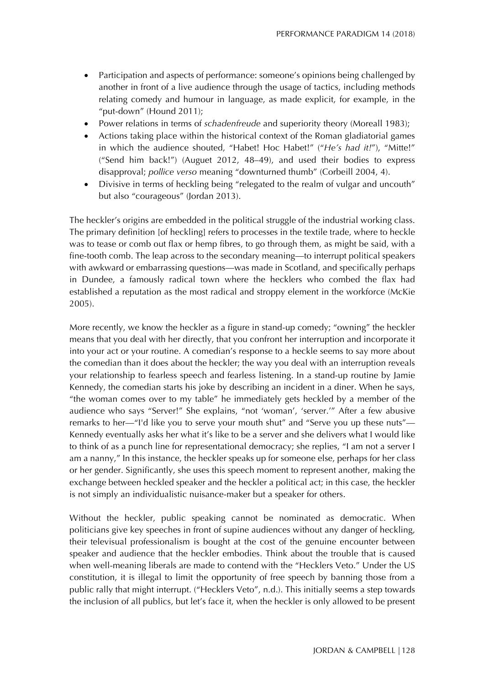- Participation and aspects of performance: someone's opinions being challenged by another in front of a live audience through the usage of tactics, including methods relating comedy and humour in language, as made explicit, for example, in the "put-down" (Hound 2011);
- Power relations in terms of *schadenfreude* and superiority theory (Moreall 1983);
- Actions taking place within the historical context of the Roman gladiatorial games in which the audience shouted, "Habet! Hoc Habet!" ("*He's had it!*"), "Mitte!" ("Send him back!") (Auguet 2012, 48–49), and used their bodies to express disapproval; *pollice verso* meaning "downturned thumb" (Corbeill 2004, 4).
- Divisive in terms of heckling being "relegated to the realm of vulgar and uncouth" but also "courageous" (Jordan 2013).

The heckler's origins are embedded in the political struggle of the industrial working class. The primary definition [of heckling] refers to processes in the textile trade, where to heckle was to tease or comb out flax or hemp fibres, to go through them, as might be said, with a fine-tooth comb. The leap across to the secondary meaning—to interrupt political speakers with awkward or embarrassing questions—was made in Scotland, and specifically perhaps in Dundee, a famously radical town where the hecklers who combed the flax had established a reputation as the most radical and stroppy element in the workforce (McKie 2005).

More recently, we know the heckler as a figure in stand-up comedy; "owning" the heckler means that you deal with her directly, that you confront her interruption and incorporate it into your act or your routine. A comedian's response to a heckle seems to say more about the comedian than it does about the heckler; the way you deal with an interruption reveals your relationship to fearless speech and fearless listening. In a stand-up routine by Jamie Kennedy, the comedian starts his joke by describing an incident in a diner. When he says, "the woman comes over to my table" he immediately gets heckled by a member of the audience who says "Server!" She explains, "not 'woman', 'server.'" After a few abusive remarks to her—"I'd like you to serve your mouth shut" and "Serve you up these nuts"— Kennedy eventually asks her what it's like to be a server and she delivers what I would like to think of as a punch line for representational democracy; she replies, "I am not a server I am a nanny," In this instance, the heckler speaks up for someone else, perhaps for her class or her gender. Significantly, she uses this speech moment to represent another, making the exchange between heckled speaker and the heckler a political act; in this case, the heckler is not simply an individualistic nuisance-maker but a speaker for others.

Without the heckler, public speaking cannot be nominated as democratic. When politicians give key speeches in front of supine audiences without any danger of heckling, their televisual professionalism is bought at the cost of the genuine encounter between speaker and audience that the heckler embodies. Think about the trouble that is caused when well-meaning liberals are made to contend with the "Hecklers Veto." Under the US constitution, it is illegal to limit the opportunity of free speech by banning those from a public rally that might interrupt. ("Hecklers Veto", n.d.). This initially seems a step towards the inclusion of all publics, but let's face it, when the heckler is only allowed to be present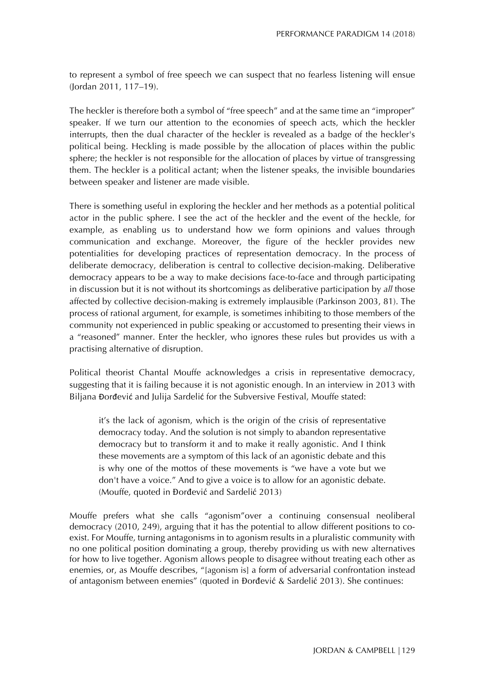to represent a symbol of free speech we can suspect that no fearless listening will ensue (Jordan 2011, 117–19).

The heckler is therefore both a symbol of "free speech" and at the same time an "improper" speaker. If we turn our attention to the economies of speech acts, which the heckler interrupts, then the dual character of the heckler is revealed as a badge of the heckler's political being. Heckling is made possible by the allocation of places within the public sphere; the heckler is not responsible for the allocation of places by virtue of transgressing them. The heckler is a political actant; when the listener speaks, the invisible boundaries between speaker and listener are made visible.

There is something useful in exploring the heckler and her methods as a potential political actor in the public sphere. I see the act of the heckler and the event of the heckle, for example, as enabling us to understand how we form opinions and values through communication and exchange. Moreover, the figure of the heckler provides new potentialities for developing practices of representation democracy. In the process of deliberate democracy, deliberation is central to collective decision-making. Deliberative democracy appears to be a way to make decisions face-to-face and through participating in discussion but it is not without its shortcomings as deliberative participation by *all* those affected by collective decision-making is extremely implausible (Parkinson 2003, 81). The process of rational argument, for example, is sometimes inhibiting to those members of the community not experienced in public speaking or accustomed to presenting their views in a "reasoned" manner. Enter the heckler, who ignores these rules but provides us with a practising alternative of disruption.

Political theorist Chantal Mouffe acknowledges a crisis in representative democracy, suggesting that it is failing because it is not agonistic enough. In an interview in 2013 with Biljana Đorđević and Julija Sardelić for the Subversive Festival, Mouffe stated:

it's the lack of agonism, which is the origin of the crisis of representative democracy today. And the solution is not simply to abandon representative democracy but to transform it and to make it really agonistic. And I think these movements are a symptom of this lack of an agonistic debate and this is why one of the mottos of these movements is "we have a vote but we don't have a voice." And to give a voice is to allow for an agonistic debate. (Mouffe, quoted in Đorđević and Sardelić 2013)

Mouffe prefers what she calls "agonism"over a continuing consensual neoliberal democracy (2010, 249), arguing that it has the potential to allow different positions to coexist. For Mouffe, turning antagonisms in to agonism results in a pluralistic community with no one political position dominating a group, thereby providing us with new alternatives for how to live together. Agonism allows people to disagree without treating each other as enemies, or, as Mouffe describes, "[agonism is] a form of adversarial confrontation instead of antagonism between enemies" (quoted in Đorđević & Sardelić 2013). She continues: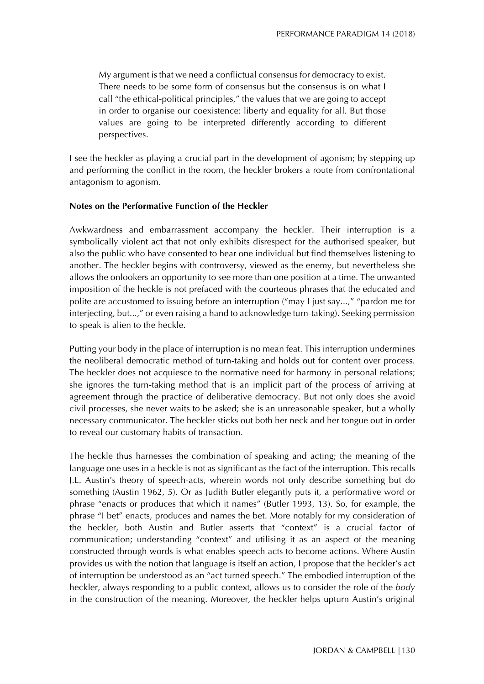My argument is that we need a conflictual consensus for democracy to exist. There needs to be some form of consensus but the consensus is on what I call "the ethical-political principles," the values that we are going to accept in order to organise our coexistence: liberty and equality for all. But those values are going to be interpreted differently according to different perspectives.

I see the heckler as playing a crucial part in the development of agonism; by stepping up and performing the conflict in the room, the heckler brokers a route from confrontational antagonism to agonism.

# **Notes on the Performative Function of the Heckler**

Awkwardness and embarrassment accompany the heckler. Their interruption is a symbolically violent act that not only exhibits disrespect for the authorised speaker, but also the public who have consented to hear one individual but find themselves listening to another. The heckler begins with controversy, viewed as the enemy, but nevertheless she allows the onlookers an opportunity to see more than one position at a time. The unwanted imposition of the heckle is not prefaced with the courteous phrases that the educated and polite are accustomed to issuing before an interruption ("may I just say...," "pardon me for interjecting, but...," or even raising a hand to acknowledge turn-taking). Seeking permission to speak is alien to the heckle.

Putting your body in the place of interruption is no mean feat. This interruption undermines the neoliberal democratic method of turn-taking and holds out for content over process. The heckler does not acquiesce to the normative need for harmony in personal relations; she ignores the turn-taking method that is an implicit part of the process of arriving at agreement through the practice of deliberative democracy. But not only does she avoid civil processes, she never waits to be asked; she is an unreasonable speaker, but a wholly necessary communicator. The heckler sticks out both her neck and her tongue out in order to reveal our customary habits of transaction.

The heckle thus harnesses the combination of speaking and acting; the meaning of the language one uses in a heckle is not as significant as the fact of the interruption. This recalls J.L. Austin's theory of speech-acts, wherein words not only describe something but do something (Austin 1962, 5). Or as Judith Butler elegantly puts it, a performative word or phrase "enacts or produces that which it names" (Butler 1993, 13). So, for example, the phrase "I bet" enacts, produces and names the bet. More notably for my consideration of the heckler, both Austin and Butler asserts that "context" is a crucial factor of communication; understanding "context" and utilising it as an aspect of the meaning constructed through words is what enables speech acts to become actions. Where Austin provides us with the notion that language is itself an action, I propose that the heckler's act of interruption be understood as an "act turned speech." The embodied interruption of the heckler, always responding to a public context, allows us to consider the role of the *body* in the construction of the meaning. Moreover, the heckler helps upturn Austin's original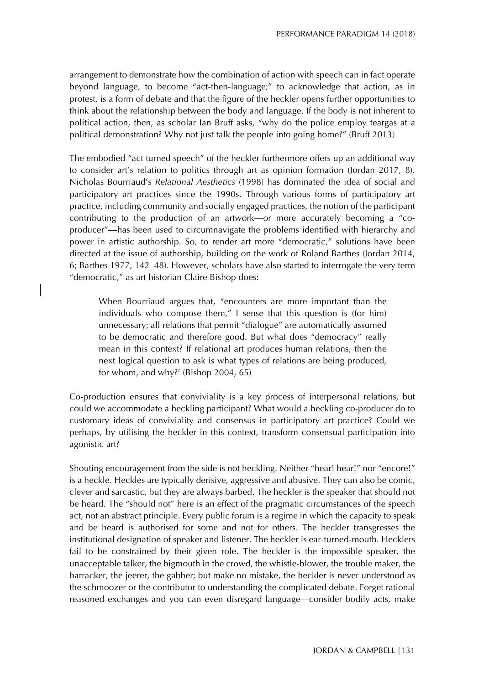arrangement to demonstrate how the combination of action with speech can in fact operate beyond language, to become "act-then-language;" to acknowledge that action, as in protest, is a form of debate and that the figure of the heckler opens further opportunities to think about the relationship between the body and language. If the body is not inherent to political action, then, as scholar Ian Bruff asks, "why do the police employ teargas at a political demonstration? Why not just talk the people into going home?" (Bruff 2013)

The embodied "act turned speech" of the heckler furthermore offers up an additional way to consider art's relation to politics through art as opinion formation (Jordan 2017, 8). Nicholas Bourriaud's *Relational Aesthetics* (1998) has dominated the idea of social and participatory art practices since the 1990s. Through various forms of participatory art practice, including community and socially engaged practices, the notion of the participant contributing to the production of an artwork—or more accurately becoming a "coproducer"—has been used to circumnavigate the problems identified with hierarchy and power in artistic authorship. So, to render art more "democratic," solutions have been directed at the issue of authorship, building on the work of Roland Barthes (Jordan 2014, 6; Barthes 1977, 142–48). However, scholars have also started to interrogate the very term "democratic," as art historian Claire Bishop does:

When Bourriaud argues that, "encounters are more important than the individuals who compose them," I sense that this question is (for him) unnecessary; all relations that permit "dialogue" are automatically assumed to be democratic and therefore good. But what does "democracy" really mean in this context? If relational art produces human relations, then the next logical question to ask is what types of relations are being produced, for whom, and why?' (Bishop 2004, 65)

Co-production ensures that conviviality is a key process of interpersonal relations, but could we accommodate a heckling participant? What would a heckling co-producer do to customary ideas of conviviality and consensus in participatory art practice? Could we perhaps, by utilising the heckler in this context, transform consensual participation into agonistic art?

Shouting encouragement from the side is not heckling. Neither "hear! hear!" nor "encore!" is a heckle. Heckles are typically derisive, aggressive and abusive. They can also be comic, clever and sarcastic, but they are always barbed. The heckler is the speaker that should not be heard. The "should not" here is an effect of the pragmatic circumstances of the speech act, not an abstract principle. Every public forum is a regime in which the capacity to speak and be heard is authorised for some and not for others. The heckler transgresses the institutional designation of speaker and listener. The heckler is ear-turned-mouth. Hecklers fail to be constrained by their given role. The heckler is the impossible speaker, the unacceptable talker, the bigmouth in the crowd, the whistle-blower, the trouble maker, the barracker, the jeerer, the gabber; but make no mistake, the heckler is never understood as the schmoozer or the contributor to understanding the complicated debate. Forget rational reasoned exchanges and you can even disregard language—consider bodily acts, make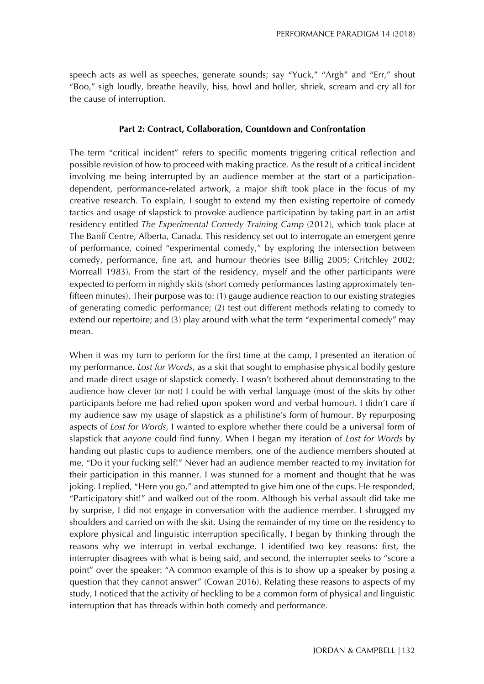speech acts as well as speeches, generate sounds; say "Yuck," "Argh" and "Err," shout "Boo," sigh loudly, breathe heavily, hiss, howl and holler, shriek, scream and cry all for the cause of interruption.

# **Part 2: Contract, Collaboration, Countdown and Confrontation**

The term "critical incident" refers to specific moments triggering critical reflection and possible revision of how to proceed with making practice. As the result of a critical incident involving me being interrupted by an audience member at the start of a participationdependent, performance-related artwork, a major shift took place in the focus of my creative research. To explain, I sought to extend my then existing repertoire of comedy tactics and usage of slapstick to provoke audience participation by taking part in an artist residency entitled *The Experimental Comedy Training Camp* (2012), which took place at The Banff Centre, Alberta, Canada. This residency set out to interrogate an emergent genre of performance, coined "experimental comedy," by exploring the intersection between comedy, performance, fine art, and humour theories (see Billig 2005; Critchley 2002; Morreall 1983). From the start of the residency, myself and the other participants were expected to perform in nightly skits (short comedy performances lasting approximately tenfifteen minutes). Their purpose was to: (1) gauge audience reaction to our existing strategies of generating comedic performance; (2) test out different methods relating to comedy to extend our repertoire; and (3) play around with what the term "experimental comedy" may mean.

When it was my turn to perform for the first time at the camp, I presented an iteration of my performance, *Lost for Words*, as a skit that sought to emphasise physical bodily gesture and made direct usage of slapstick comedy. I wasn't bothered about demonstrating to the audience how clever (or not) I could be with verbal language (most of the skits by other participants before me had relied upon spoken word and verbal humour). I didn't care if my audience saw my usage of slapstick as a philistine's form of humour. By repurposing aspects of *Lost for Words,* I wanted to explore whether there could be a universal form of slapstick that *anyone* could find funny. When I began my iteration of *Lost for Words* by handing out plastic cups to audience members, one of the audience members shouted at me, "Do it your fucking self!" Never had an audience member reacted to my invitation for their participation in this manner. I was stunned for a moment and thought that he was joking. I replied, "Here you go," and attempted to give him one of the cups. He responded, "Participatory shit!" and walked out of the room. Although his verbal assault did take me by surprise, I did not engage in conversation with the audience member. I shrugged my shoulders and carried on with the skit. Using the remainder of my time on the residency to explore physical and linguistic interruption specifically, I began by thinking through the reasons why we interrupt in verbal exchange. I identified two key reasons: first, the interrupter disagrees with what is being said, and second, the interrupter seeks to "score a point" over the speaker: "A common example of this is to show up a speaker by posing a question that they cannot answer" (Cowan 2016). Relating these reasons to aspects of my study, I noticed that the activity of heckling to be a common form of physical and linguistic interruption that has threads within both comedy and performance.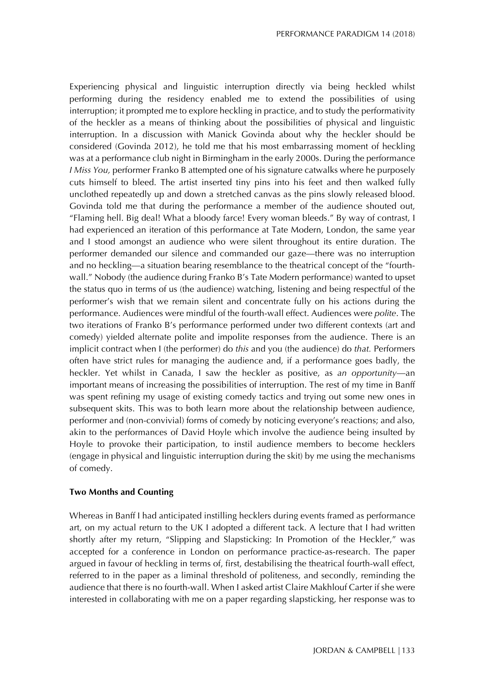Experiencing physical and linguistic interruption directly via being heckled whilst performing during the residency enabled me to extend the possibilities of using interruption; it prompted me to explore heckling in practice, and to study the performativity of the heckler as a means of thinking about the possibilities of physical and linguistic interruption. In a discussion with Manick Govinda about why the heckler should be considered (Govinda 2012), he told me that his most embarrassing moment of heckling was at a performance club night in Birmingham in the early 2000s. During the performance *I Miss You,* performer Franko B attempted one of his signature catwalks where he purposely cuts himself to bleed. The artist inserted tiny pins into his feet and then walked fully unclothed repeatedly up and down a stretched canvas as the pins slowly released blood. Govinda told me that during the performance a member of the audience shouted out, "Flaming hell. Big deal! What a bloody farce! Every woman bleeds." By way of contrast, I had experienced an iteration of this performance at Tate Modern, London, the same year and I stood amongst an audience who were silent throughout its entire duration. The performer demanded our silence and commanded our gaze—there was no interruption and no heckling—a situation bearing resemblance to the theatrical concept of the "fourthwall." Nobody (the audience during Franko B's Tate Modern performance) wanted to upset the status quo in terms of us (the audience) watching, listening and being respectful of the performer's wish that we remain silent and concentrate fully on his actions during the performance. Audiences were mindful of the fourth-wall effect. Audiences were *polite*. The two iterations of Franko B's performance performed under two different contexts (art and comedy) yielded alternate polite and impolite responses from the audience. There is an implicit contract when I (the performer) do *this* and you (the audience) do *that.* Performers often have strict rules for managing the audience and, if a performance goes badly, the heckler. Yet whilst in Canada, I saw the heckler as positive, as *an opportunity*—an important means of increasing the possibilities of interruption. The rest of my time in Banff was spent refining my usage of existing comedy tactics and trying out some new ones in subsequent skits. This was to both learn more about the relationship between audience, performer and (non-convivial) forms of comedy by noticing everyone's reactions; and also, akin to the performances of David Hoyle which involve the audience being insulted by Hoyle to provoke their participation, to instil audience members to become hecklers (engage in physical and linguistic interruption during the skit) by me using the mechanisms of comedy.

# **Two Months and Counting**

Whereas in Banff I had anticipated instilling hecklers during events framed as performance art, on my actual return to the UK I adopted a different tack. A lecture that I had written shortly after my return, "Slipping and Slapsticking: In Promotion of the Heckler," was accepted for a conference in London on performance practice-as-research. The paper argued in favour of heckling in terms of, first, destabilising the theatrical fourth-wall effect, referred to in the paper as a liminal threshold of politeness, and secondly, reminding the audience that there is no fourth-wall. When I asked artist Claire Makhlouf Carter if she were interested in collaborating with me on a paper regarding slapsticking, her response was to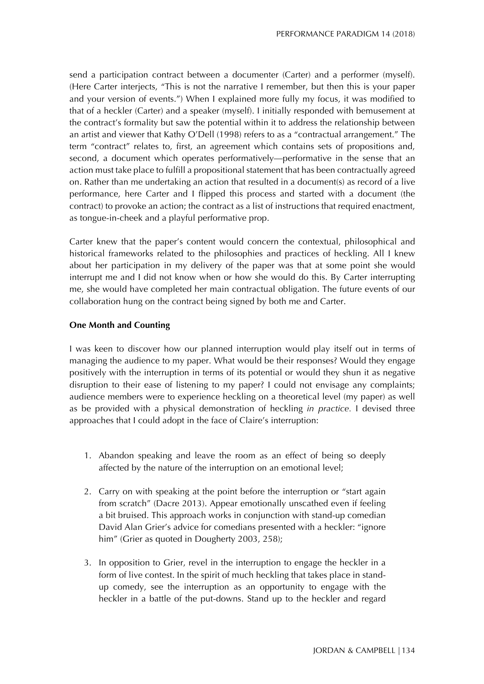send a participation contract between a documenter (Carter) and a performer (myself). (Here Carter interjects, "This is not the narrative I remember, but then this is your paper and your version of events.") When I explained more fully my focus, it was modified to that of a heckler (Carter) and a speaker (myself). I initially responded with bemusement at the contract's formality but saw the potential within it to address the relationship between an artist and viewer that Kathy O'Dell (1998) refers to as a "contractual arrangement." The term "contract" relates to, first, an agreement which contains sets of propositions and, second, a document which operates performatively—performative in the sense that an action must take place to fulfill a propositional statement that has been contractually agreed on. Rather than me undertaking an action that resulted in a document(s) as record of a live performance, here Carter and I flipped this process and started with a document (the contract) to provoke an action; the contract as a list of instructions that required enactment, as tongue-in-cheek and a playful performative prop.

Carter knew that the paper's content would concern the contextual, philosophical and historical frameworks related to the philosophies and practices of heckling. All I knew about her participation in my delivery of the paper was that at some point she would interrupt me and I did not know when or how she would do this. By Carter interrupting me, she would have completed her main contractual obligation. The future events of our collaboration hung on the contract being signed by both me and Carter.

# **One Month and Counting**

I was keen to discover how our planned interruption would play itself out in terms of managing the audience to my paper. What would be their responses? Would they engage positively with the interruption in terms of its potential or would they shun it as negative disruption to their ease of listening to my paper? I could not envisage any complaints; audience members were to experience heckling on a theoretical level (my paper) as well as be provided with a physical demonstration of heckling *in practice.* I devised three approaches that I could adopt in the face of Claire's interruption:

- 1. Abandon speaking and leave the room as an effect of being so deeply affected by the nature of the interruption on an emotional level;
- 2. Carry on with speaking at the point before the interruption or "start again from scratch" (Dacre 2013). Appear emotionally unscathed even if feeling a bit bruised. This approach works in conjunction with stand-up comedian David Alan Grier's advice for comedians presented with a heckler: "ignore him" (Grier as quoted in Dougherty 2003, 258);
- 3. In opposition to Grier, revel in the interruption to engage the heckler in a form of live contest. In the spirit of much heckling that takes place in standup comedy, see the interruption as an opportunity to engage with the heckler in a battle of the put-downs. Stand up to the heckler and regard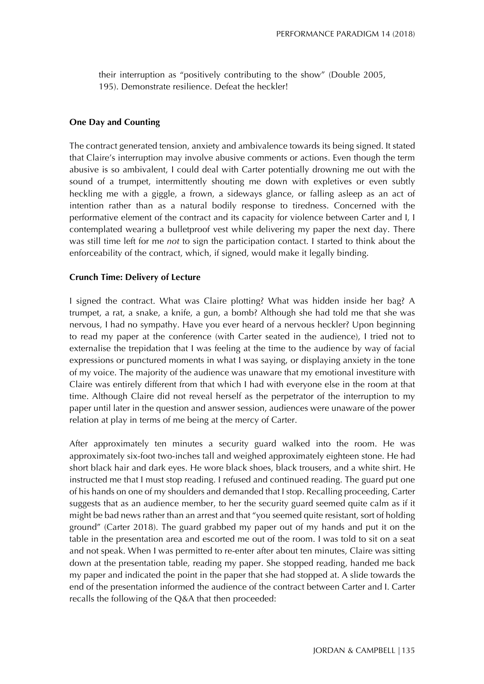their interruption as "positively contributing to the show" (Double 2005, 195). Demonstrate resilience. Defeat the heckler!

## **One Day and Counting**

The contract generated tension, anxiety and ambivalence towards its being signed. It stated that Claire's interruption may involve abusive comments or actions. Even though the term abusive is so ambivalent, I could deal with Carter potentially drowning me out with the sound of a trumpet, intermittently shouting me down with expletives or even subtly heckling me with a giggle, a frown, a sideways glance, or falling asleep as an act of intention rather than as a natural bodily response to tiredness. Concerned with the performative element of the contract and its capacity for violence between Carter and I, I contemplated wearing a bulletproof vest while delivering my paper the next day. There was still time left for me *not* to sign the participation contact. I started to think about the enforceability of the contract, which, if signed, would make it legally binding.

### **Crunch Time: Delivery of Lecture**

I signed the contract. What was Claire plotting? What was hidden inside her bag? A trumpet, a rat, a snake, a knife, a gun, a bomb? Although she had told me that she was nervous, I had no sympathy. Have you ever heard of a nervous heckler? Upon beginning to read my paper at the conference (with Carter seated in the audience), I tried not to externalise the trepidation that I was feeling at the time to the audience by way of facial expressions or punctured moments in what I was saying, or displaying anxiety in the tone of my voice. The majority of the audience was unaware that my emotional investiture with Claire was entirely different from that which I had with everyone else in the room at that time. Although Claire did not reveal herself as the perpetrator of the interruption to my paper until later in the question and answer session, audiences were unaware of the power relation at play in terms of me being at the mercy of Carter.

After approximately ten minutes a security guard walked into the room. He was approximately six-foot two-inches tall and weighed approximately eighteen stone. He had short black hair and dark eyes. He wore black shoes, black trousers, and a white shirt. He instructed me that I must stop reading. I refused and continued reading. The guard put one of his hands on one of my shoulders and demanded that I stop. Recalling proceeding, Carter suggests that as an audience member, to her the security guard seemed quite calm as if it might be bad news rather than an arrest and that "you seemed quite resistant, sort of holding ground" (Carter 2018). The guard grabbed my paper out of my hands and put it on the table in the presentation area and escorted me out of the room. I was told to sit on a seat and not speak. When I was permitted to re-enter after about ten minutes, Claire was sitting down at the presentation table, reading my paper. She stopped reading, handed me back my paper and indicated the point in the paper that she had stopped at. A slide towards the end of the presentation informed the audience of the contract between Carter and I. Carter recalls the following of the Q&A that then proceeded: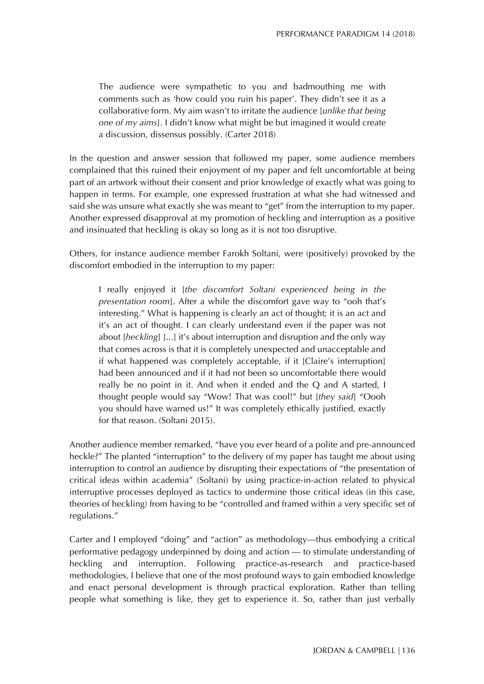The audience were sympathetic to you and badmouthing me with comments such as 'how could you ruin his paper'. They didn't see it as a collaborative form. My aim wasn't to irritate the audience [*unlike that being one of my aims*]. I didn't know what might be but imagined it would create a discussion, dissensus possibly. (Carter 2018)

In the question and answer session that followed my paper, some audience members complained that this ruined their enjoyment of my paper and felt uncomfortable at being part of an artwork without their consent and prior knowledge of exactly what was going to happen in terms. For example, one expressed frustration at what she had witnessed and said she was unsure what exactly she was meant to "get" from the interruption to my paper. Another expressed disapproval at my promotion of heckling and interruption as a positive and insinuated that heckling is okay so long as it is not too disruptive.

Others, for instance audience member Farokh Soltani, were (positively) provoked by the discomfort embodied in the interruption to my paper:

I really enjoyed it [*the discomfort Soltani experienced being in the presentation room*]. After a while the discomfort gave way to "ooh that's interesting." What is happening is clearly an act of thought; it is an act and it's an act of thought. I can clearly understand even if the paper was not about [*heckling*] [...] it's about interruption and disruption and the only way that comes across is that it is completely unexpected and unacceptable and if what happened was completely acceptable, if it [Claire's interruption] had been announced and if it had not been so uncomfortable there would really be no point in it. And when it ended and the Q and A started, I thought people would say "Wow! That was cool!" but [*they said*] "Oooh you should have warned us!" It was completely ethically justified, exactly for that reason. (Soltani 2015).

Another audience member remarked, "have you ever heard of a polite and pre-announced heckle?" The planted "interruption" to the delivery of my paper has taught me about using interruption to control an audience by disrupting their expectations of "the presentation of critical ideas within academia" (Soltani) by using practice-in-action related to physical interruptive processes deployed as tactics to undermine those critical ideas (in this case, theories of heckling) from having to be "controlled and framed within a very specific set of regulations."

Carter and I employed "doing" and "action" as methodology—thus embodying a critical performative pedagogy underpinned by doing and action — to stimulate understanding of heckling and interruption. Following practice-as-research and practice-based methodologies, I believe that one of the most profound ways to gain embodied knowledge and enact personal development is through practical exploration. Rather than telling people what something is like, they get to experience it. So, rather than just verbally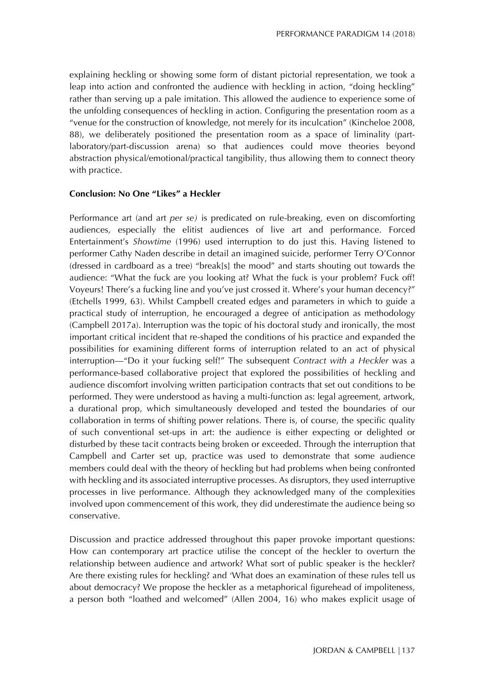explaining heckling or showing some form of distant pictorial representation, we took a leap into action and confronted the audience with heckling in action, "doing heckling" rather than serving up a pale imitation. This allowed the audience to experience some of the unfolding consequences of heckling in action. Configuring the presentation room as a "venue for the construction of knowledge, not merely for its inculcation" (Kincheloe 2008, 88), we deliberately positioned the presentation room as a space of liminality (partlaboratory/part-discussion arena) so that audiences could move theories beyond abstraction physical/emotional/practical tangibility, thus allowing them to connect theory with practice.

# **Conclusion: No One "Likes" a Heckler**

Performance art (and art *per se)* is predicated on rule-breaking, even on discomforting audiences, especially the elitist audiences of live art and performance. Forced Entertainment's *Showtime* (1996) used interruption to do just this. Having listened to performer Cathy Naden describe in detail an imagined suicide, performer Terry O'Connor (dressed in cardboard as a tree) "break[s] the mood" and starts shouting out towards the audience: "What the fuck are you looking at? What the fuck is your problem? Fuck off! Voyeurs! There's a fucking line and you've just crossed it. Where's your human decency?" (Etchells 1999, 63). Whilst Campbell created edges and parameters in which to guide a practical study of interruption, he encouraged a degree of anticipation as methodology (Campbell 2017a). Interruption was the topic of his doctoral study and ironically, the most important critical incident that re-shaped the conditions of his practice and expanded the possibilities for examining different forms of interruption related to an act of physical interruption—"Do it your fucking self!" The subsequent *Contract with a Heckler* was a performance-based collaborative project that explored the possibilities of heckling and audience discomfort involving written participation contracts that set out conditions to be performed. They were understood as having a multi-function as: legal agreement, artwork, a durational prop, which simultaneously developed and tested the boundaries of our collaboration in terms of shifting power relations. There is, of course, the specific quality of such conventional set-ups in art: the audience is either expecting or delighted or disturbed by these tacit contracts being broken or exceeded. Through the interruption that Campbell and Carter set up, practice was used to demonstrate that some audience members could deal with the theory of heckling but had problems when being confronted with heckling and its associated interruptive processes. As disruptors, they used interruptive processes in live performance. Although they acknowledged many of the complexities involved upon commencement of this work, they did underestimate the audience being so conservative.

Discussion and practice addressed throughout this paper provoke important questions: How can contemporary art practice utilise the concept of the heckler to overturn the relationship between audience and artwork? What sort of public speaker is the heckler? Are there existing rules for heckling? and 'What does an examination of these rules tell us about democracy? We propose the heckler as a metaphorical figurehead of impoliteness, a person both "loathed and welcomed" (Allen 2004, 16) who makes explicit usage of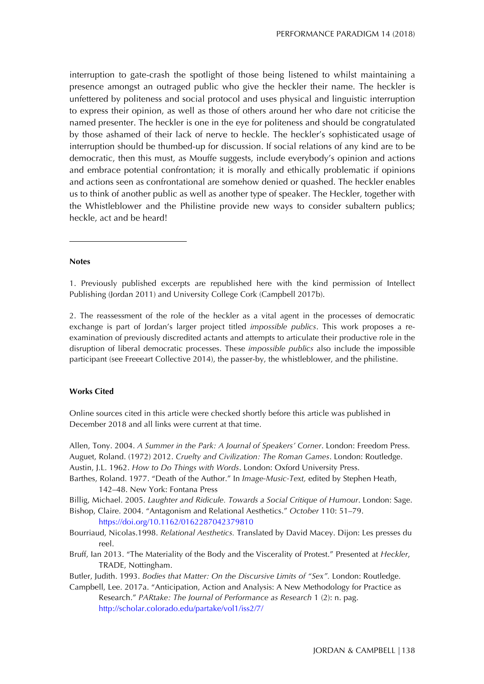interruption to gate-crash the spotlight of those being listened to whilst maintaining a presence amongst an outraged public who give the heckler their name. The heckler is unfettered by politeness and social protocol and uses physical and linguistic interruption to express their opinion, as well as those of others around her who dare not criticise the named presenter. The heckler is one in the eye for politeness and should be congratulated by those ashamed of their lack of nerve to heckle. The heckler's sophisticated usage of interruption should be thumbed-up for discussion. If social relations of any kind are to be democratic, then this must, as Mouffe suggests, include everybody's opinion and actions and embrace potential confrontation; it is morally and ethically problematic if opinions and actions seen as confrontational are somehow denied or quashed. The heckler enables us to think of another public as well as another type of speaker. The Heckler, together with the Whistleblower and the Philistine provide new ways to consider subaltern publics; heckle, act and be heard!

### **Notes**

 $\overline{a}$ 

1. Previously published excerpts are republished here with the kind permission of Intellect Publishing (Jordan 2011) and University College Cork (Campbell 2017b).

2. The reassessment of the role of the heckler as a vital agent in the processes of democratic exchange is part of Jordan's larger project titled *impossible publics*. This work proposes a reexamination of previously discredited actants and attempts to articulate their productive role in the disruption of liberal democratic processes. These *impossible publics* also include the impossible participant (see Freeeart Collective 2014), the passer-by, the whistleblower, and the philistine.

#### **Works Cited**

Online sources cited in this article were checked shortly before this article was published in December 2018 and all links were current at that time.

Allen, Tony. 2004. *A Summer in the Park: A Journal of Speakers' Corner*. London: Freedom Press. Auguet, Roland. (1972) 2012. *Cruelty and Civilization: The Roman Games*. London: Routledge. Austin, J.L. 1962. *How to Do Things with Words*. London: Oxford University Press.

- Barthes, Roland. 1977. "Death of the Author." In *Image-Music-Text,* edited by Stephen Heath, 142–48. New York: Fontana Press
- Billig, Michael. 2005. *Laughter and Ridicule. Towards a Social Critique of Humour*. London: Sage. Bishop, Claire. 2004. "Antagonism and Relational Aesthetics." *October* 110: 51–79.

https://doi.org/10.1162/0162287042379810

- Bourriaud, Nicolas.1998. *Relational Aesthetics.* Translated by David Macey. Dijon: Les presses du reel.
- Bruff, Ian 2013. "The Materiality of the Body and the Viscerality of Protest." Presented at *Heckler*, TRADE, Nottingham.

Butler, Judith. 1993. *Bodies that Matter: On the Discursive Limits of "Sex".* London: Routledge.

Campbell, Lee. 2017a. "Anticipation, Action and Analysis: A New Methodology for Practice as Research." *PARtake: The Journal of Performance as Research* 1 (2): n. pag. http://scholar.colorado.edu/partake/vol1/iss2/7/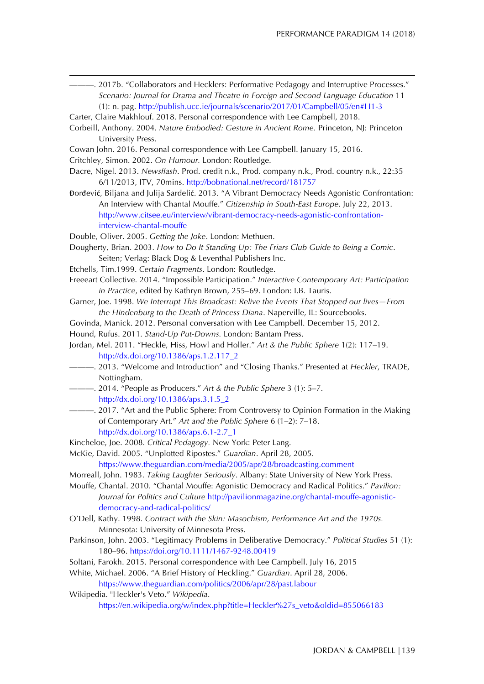- ———. 2017b. "Collaborators and Hecklers: Performative Pedagogy and Interruptive Processes." *Scenario: Journal for Drama and Theatre in Foreign and Second Language Education* 11 (1): n. pag. http://publish.ucc.ie/journals/scenario/2017/01/Campbell/05/en#H1-3
- Carter, Claire Makhlouf. 2018. Personal correspondence with Lee Campbell, 2018.
- Corbeill, Anthony. 2004. *Nature Embodied: Gesture in Ancient Rome.* Princeton, NJ: Princeton University Press.
- Cowan John. 2016. Personal correspondence with Lee Campbell. January 15, 2016.
- Critchley, Simon. 2002. *On Humour.* London: Routledge.

 $\overline{a}$ 

- Dacre, Nigel. 2013. *Newsflash*. Prod. credit n.k., Prod. company n.k., Prod. country n.k., 22:35 6/11/2013, ITV, 70mins. http://bobnational.net/record/181757
- Đorđević, Biljana and Julija Sardelić. 2013. "A Vibrant Democracy Needs Agonistic Confrontation: An Interview with Chantal Mouffe." *Citizenship in South-East Europe*. July 22, 2013. http://www.citsee.eu/interview/vibrant-democracy-needs-agonistic-confrontationinterview-chantal-mouffe
- Double, Oliver. 2005. *Getting the Joke*. London: Methuen.
- Dougherty, Brian. 2003. *How to Do It Standing Up: The Friars Club Guide to Being a Comic*. Seiten; Verlag: Black Dog & Leventhal Publishers Inc.
- Etchells, Tim.1999. *Certain Fragments*. London: Routledge.
- Freeeart Collective. 2014. "Impossible Participation." *Interactive Contemporary Art: Participation in Practice*, edited by Kathryn Brown, 255–69. London: I.B. Tauris.
- Garner, Joe. 1998. *We Interrupt This Broadcast: Relive the Events That Stopped our lives—From the Hindenburg to the Death of Princess Diana*. Naperville, IL: Sourcebooks.
- Govinda, Manick. 2012. Personal conversation with Lee Campbell. December 15, 2012.
- Hound, Rufus. 2011*. Stand-Up Put-Downs.* London: Bantam Press.
- Jordan, Mel. 2011. "Heckle, Hiss, Howl and Holler." *Art & the Public Sphere* 1(2): 117–19. http://dx.doi.org/10.1386/aps.1.2.117\_2
- ———. 2013. "Welcome and Introduction" and "Closing Thanks." Presented at *Heckler*, TRADE, Nottingham.
- ———. 2014. "People as Producers." *Art & the Public Sphere* 3 (1): 5–7. http://dx.doi.org/10.1386/aps.3.1.5\_2
- ———. 2017. "Art and the Public Sphere: From Controversy to Opinion Formation in the Making of Contemporary Art." *Art and the Public Sphere* 6 (1–2): 7–18. http://dx.doi.org/10.1386/aps.6.1-2.7\_1
- Kincheloe, Joe. 2008. *Critical Pedagogy.* New York: Peter Lang.
- McKie, David. 2005. "Unplotted Ripostes." *Guardian*. April 28, 2005.

https://www.theguardian.com/media/2005/apr/28/broadcasting.comment

- Morreall, John. 1983. *Taking Laughter Seriously*. Albany: State University of New York Press.
- Mouffe, Chantal. 2010. "Chantal Mouffe: Agonistic Democracy and Radical Politics." *Pavilion: Journal for Politics and Culture* http://pavilionmagazine.org/chantal-mouffe-agonisticdemocracy-and-radical-politics/
- O'Dell, Kathy. 1998. *Contract with the Skin: Masochism, Performance Art and the 1970s.* Minnesota: University of Minnesota Press.
- Parkinson, John. 2003. "Legitimacy Problems in Deliberative Democracy." *Political Studies* 51 (1): 180–96. https://doi.org/10.1111/1467-9248.00419
- Soltani, Farokh. 2015. Personal correspondence with Lee Campbell. July 16, 2015
- White, Michael. 2006. "A Brief History of Heckling." *Guardian*. April 28, 2006.

https://www.theguardian.com/politics/2006/apr/28/past.labour

Wikipedia. "Heckler's Veto." *Wikipedia*.

https://en.wikipedia.org/w/index.php?title=Heckler%27s\_veto&oldid=855066183